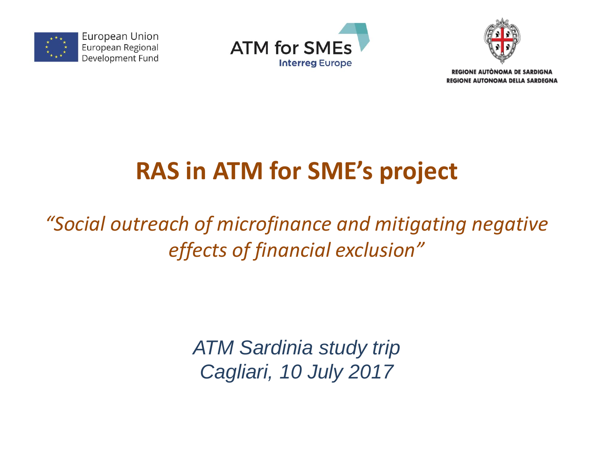

European Union European Regional Development Fund





**REGIONE AUTONOMA DE SARDIGNA** REGIONE AUTONOMA DELLA SARDEGNA

# **RAS in ATM for SME's project**

## *"Social outreach of microfinance and mitigating negative effects of financial exclusion"*

*ATM Sardinia study trip Cagliari, 10 July 2017*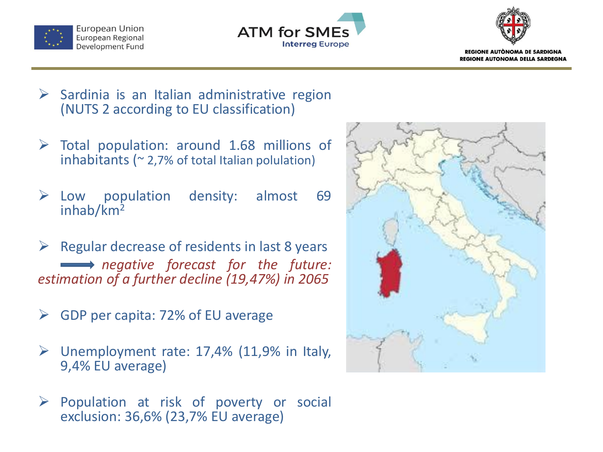





- $\triangleright$  Sardinia is an Italian administrative region (NUTS 2 according to EU classification)
- $\triangleright$  Total population: around 1.68 millions of inhabitants ( $\approx$  2,7% of total Italian polulation)
- Low population density: almost 69 inhab/km<sup>2</sup>
- $\triangleright$  Regular decrease of residents in last 8 years *negative forecast for the future: estimation of a further decline (19,47%) in 2065*
- GDP per capita: 72% of EU average
- $\triangleright$  Unemployment rate: 17,4% (11,9% in Italy, 9,4% EU average)
- $\triangleright$  Population at risk of poverty or social exclusion: 36,6% (23,7% EU average)

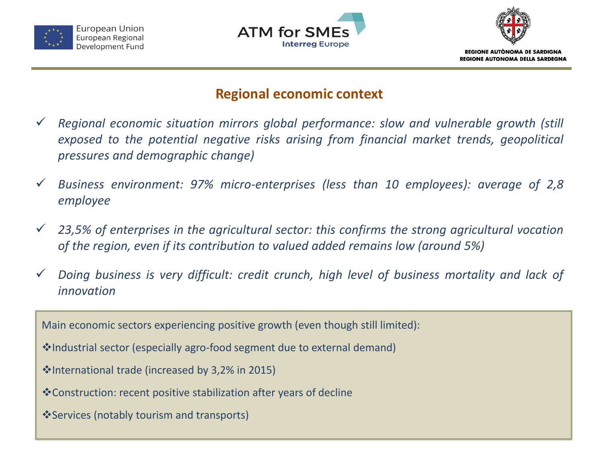





#### **Regional economic context**

- *Regional economic situation mirrors global performance: slow and vulnerable growth (still exposed to the potential negative risks arising from financial market trends, geopolitical pressures and demographic change)*
- *Business environment: 97% micro-enterprises (less than 10 employees): average of 2,8 employee*
- *23,5% of enterprises in the agricultural sector: this confirms the strong agricultural vocation of the region, even if its contribution to valued added remains low (around 5%)*
- *Doing business is very difficult: credit crunch, high level of business mortality and lack of innovation*

Main economic sectors experiencing positive growth (even though still limited):

- Industrial sector (especially agro-food segment due to external demand)
- International trade (increased by 3,2% in 2015)
- Construction: recent positive stabilization after years of decline
- Services (notably tourism and transports)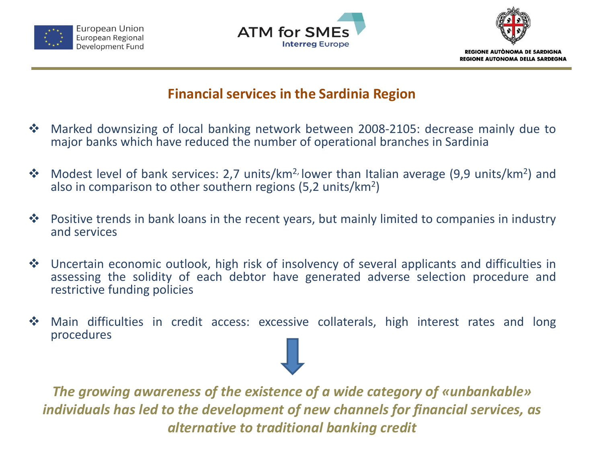





#### **Financial services in the Sardinia Region**

- Marked downsizing of local banking network between 2008-2105: decrease mainly due to major banks which have reduced the number of operational branches in Sardinia
- ◆ Modest level of bank services: 2,7 units/km<sup>2,</sup> lower than Italian average (9,9 units/km<sup>2</sup>) and also in comparison to other southern regions (5,2 units/km<sup>2</sup>)
- $\cdot$  Positive trends in bank loans in the recent years, but mainly limited to companies in industry and services
- Uncertain economic outlook, high risk of insolvency of several applicants and difficulties in assessing the solidity of each debtor have generated adverse selection procedure and restrictive funding policies
- Main difficulties in credit access: excessive collaterals, high interest rates and long procedures

*The growing awareness of the existence of a wide category of «unbankable» individuals has led to the development of new channels for financial services, as alternative to traditional banking credit*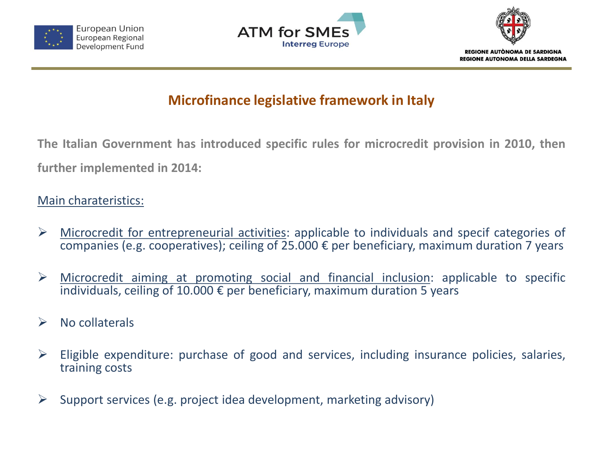





## **Microfinance legislative framework in Italy**

**The Italian Government has introduced specific rules for microcredit provision in 2010, then further implemented in 2014:**

#### Main charateristics:

- $\triangleright$  Microcredit for entrepreneurial activities: applicable to individuals and specif categories of companies (e.g. cooperatives); ceiling of 25.000 € per beneficiary, maximum duration 7 years
- $\triangleright$  Microcredit aiming at promoting social and financial inclusion: applicable to specific individuals, ceiling of 10.000  $\epsilon$  per beneficiary, maximum duration 5 years
- $\triangleright$  No collaterals
- $\triangleright$  Eligible expenditure: purchase of good and services, including insurance policies, salaries, training costs
- $\triangleright$  Support services (e.g. project idea development, marketing advisory)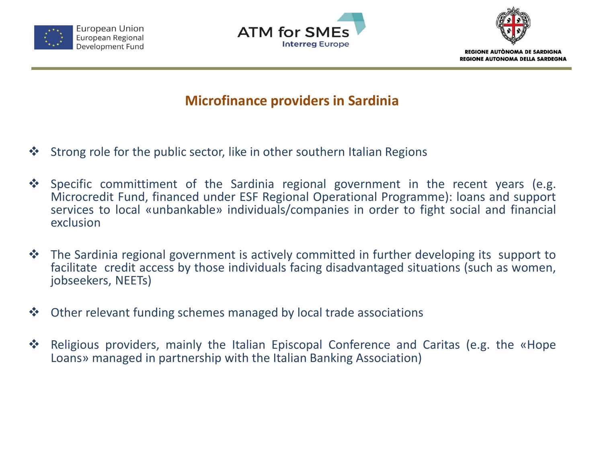





#### **Microfinance providers in Sardinia**

- $\cdot$  Strong role for the public sector, like in other southern Italian Regions
- \* Specific committiment of the Sardinia regional government in the recent years (e.g. Microcredit Fund, financed under ESF Regional Operational Programme): loans and support services to local «unbankable» individuals/companies in order to fight social and financial exclusion
- ◆ The Sardinia regional government is actively committed in further developing its support to facilitate credit access by those individuals facing disadvantaged situations (such as women, jobseekers, NEETs)
- Other relevant funding schemes managed by local trade associations
- ◆ Religious providers, mainly the Italian Episcopal Conference and Caritas (e.g. the «Hope Loans» managed in partnership with the Italian Banking Association)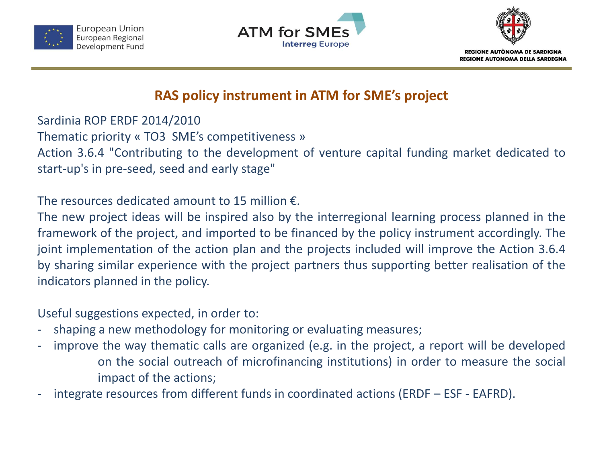





#### **RAS policy instrument in ATM for SME's project**

Sardinia ROP ERDF 2014/2010 Thematic priority « TO3 SME's competitiveness » Action 3.6.4 "Contributing to the development of venture capital funding market dedicated to start-up's in pre-seed, seed and early stage"

The resources dedicated amount to 15 million  $\epsilon$ .

The new project ideas will be inspired also by the interregional learning process planned in the framework of the project, and imported to be financed by the policy instrument accordingly. The joint implementation of the action plan and the projects included will improve the Action 3.6.4 by sharing similar experience with the project partners thus supporting better realisation of the indicators planned in the policy.

Useful suggestions expected, in order to:

- shaping a new methodology for monitoring or evaluating measures;
- improve the way thematic calls are organized (e.g. in the project, a report will be developed on the social outreach of microfinancing institutions) in order to measure the social impact of the actions;
- integrate resources from different funds in coordinated actions (ERDF ESF EAFRD).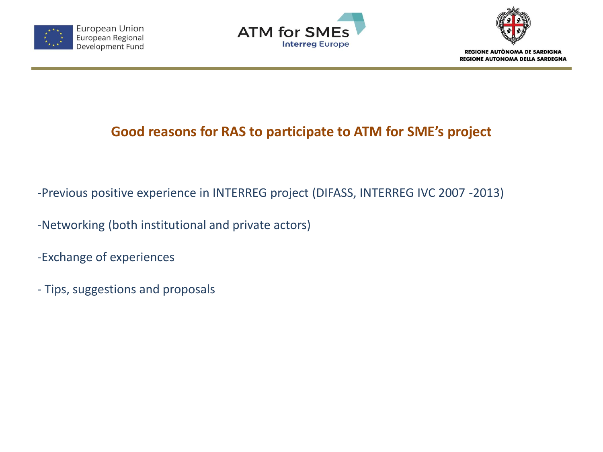





## **Good reasons for RAS to participate to ATM for SME's project**

-Previous positive experience in INTERREG project (DIFASS, INTERREG IVC 2007 -2013)

-Networking (both institutional and private actors)

-Exchange of experiences

- Tips, suggestions and proposals